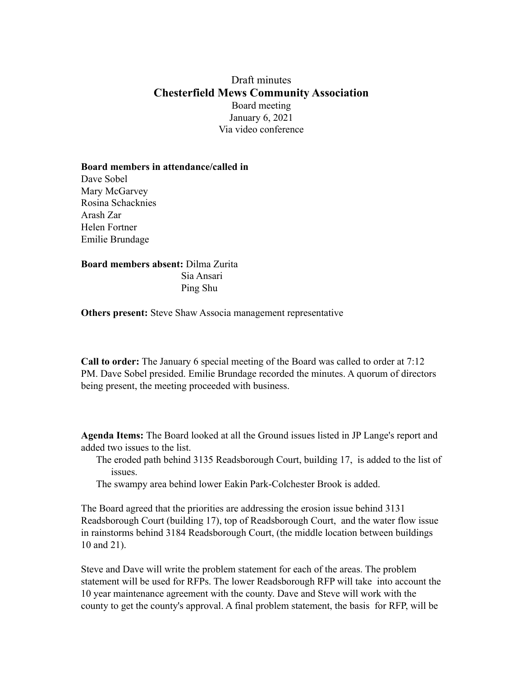## Draft minutes **Chesterfield Mews Community Association** Board meeting January 6, 2021 Via video conference

## **Board members in attendance/called in**

Dave Sobel Mary McGarvey Rosina Schacknies Arash Zar Helen Fortner Emilie Brundage

## **Board members absent:** Dilma Zurita Sia Ansari Ping Shu

**Others present:** Steve Shaw Associa management representative

**Call to order:** The January 6 special meeting of the Board was called to order at 7:12 PM. Dave Sobel presided. Emilie Brundage recorded the minutes. A quorum of directors being present, the meeting proceeded with business.

**Agenda Items:** The Board looked at all the Ground issues listed in JP Lange's report and added two issues to the list.

The eroded path behind 3135 Readsborough Court, building 17, is added to the list of issues.

The swampy area behind lower Eakin Park-Colchester Brook is added.

The Board agreed that the priorities are addressing the erosion issue behind 3131 Readsborough Court (building 17), top of Readsborough Court, and the water flow issue in rainstorms behind 3184 Readsborough Court, (the middle location between buildings 10 and 21).

Steve and Dave will write the problem statement for each of the areas. The problem statement will be used for RFPs. The lower Readsborough RFP will take into account the 10 year maintenance agreement with the county. Dave and Steve will work with the county to get the county's approval. A final problem statement, the basis for RFP, will be